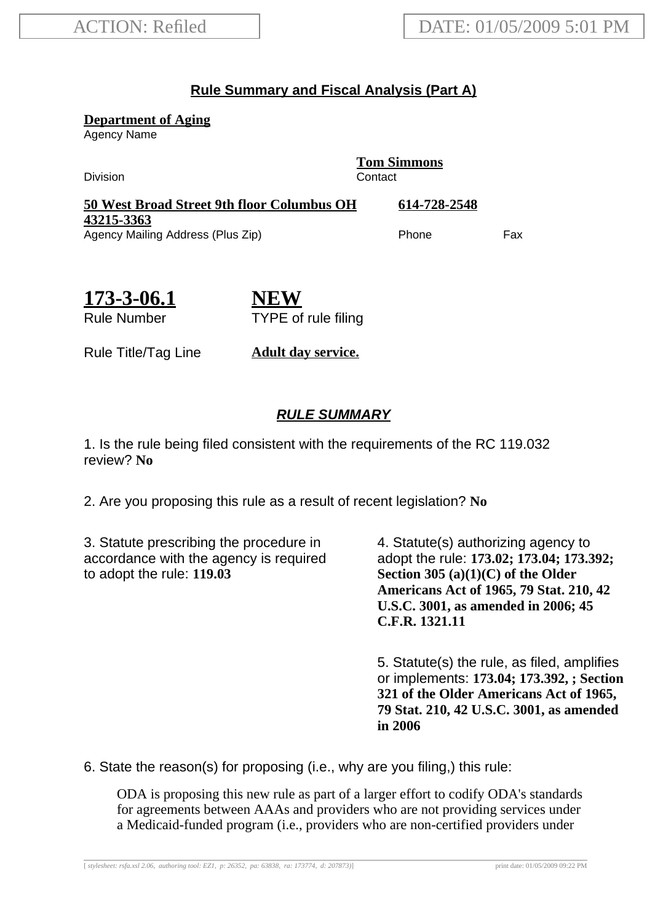## **Rule Summary and Fiscal Analysis (Part A)**

**Department of Aging**

Agency Name

Division Contact

**Tom Simmons**

| 50 West Broad Street 9th floor Columbus OH | 614-728-2548 |     |
|--------------------------------------------|--------------|-----|
| 43215-3363                                 |              |     |
| Agency Mailing Address (Plus Zip)          | Phone        | Fax |

| 173-3-06.1         |  |
|--------------------|--|
| <b>Rule Number</b> |  |

**NEW** TYPE of rule filing

Rule Title/Tag Line **Adult day service.**

## **RULE SUMMARY**

1. Is the rule being filed consistent with the requirements of the RC 119.032 review? **No**

2. Are you proposing this rule as a result of recent legislation? **No**

3. Statute prescribing the procedure in accordance with the agency is required to adopt the rule: **119.03**

4. Statute(s) authorizing agency to adopt the rule: **173.02; 173.04; 173.392; Section 305 (a)(1)(C) of the Older Americans Act of 1965, 79 Stat. 210, 42 U.S.C. 3001, as amended in 2006; 45 C.F.R. 1321.11**

5. Statute(s) the rule, as filed, amplifies or implements: **173.04; 173.392, ; Section 321 of the Older Americans Act of 1965, 79 Stat. 210, 42 U.S.C. 3001, as amended in 2006**

6. State the reason(s) for proposing (i.e., why are you filing,) this rule:

ODA is proposing this new rule as part of a larger effort to codify ODA's standards for agreements between AAAs and providers who are not providing services under a Medicaid-funded program (i.e., providers who are non-certified providers under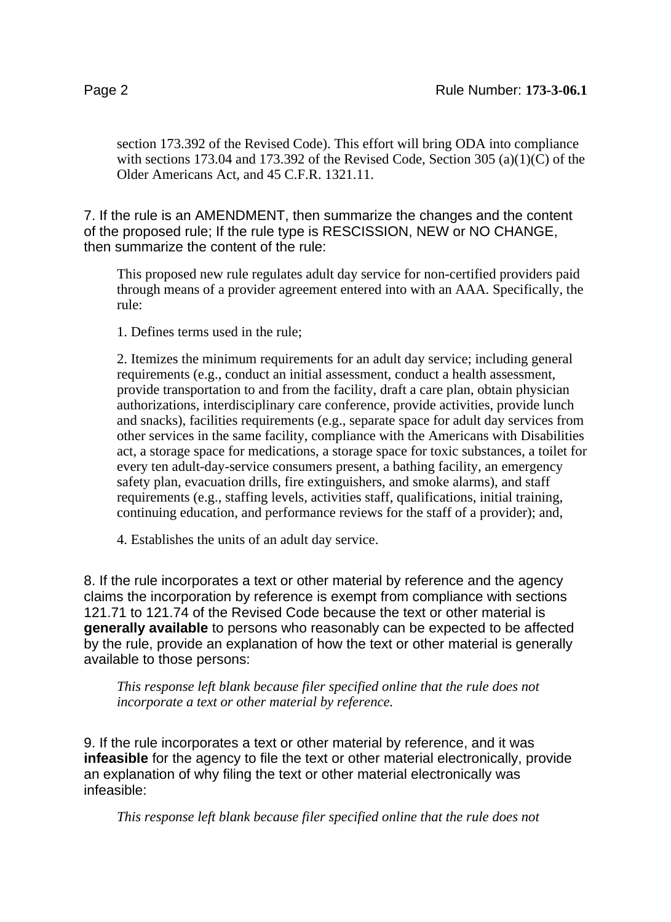section 173.392 of the Revised Code). This effort will bring ODA into compliance with sections 173.04 and 173.392 of the Revised Code, Section 305 (a)(1)(C) of the Older Americans Act, and 45 C.F.R. 1321.11.

7. If the rule is an AMENDMENT, then summarize the changes and the content of the proposed rule; If the rule type is RESCISSION, NEW or NO CHANGE, then summarize the content of the rule:

This proposed new rule regulates adult day service for non-certified providers paid through means of a provider agreement entered into with an AAA. Specifically, the rule:

1. Defines terms used in the rule;

2. Itemizes the minimum requirements for an adult day service; including general requirements (e.g., conduct an initial assessment, conduct a health assessment, provide transportation to and from the facility, draft a care plan, obtain physician authorizations, interdisciplinary care conference, provide activities, provide lunch and snacks), facilities requirements (e.g., separate space for adult day services from other services in the same facility, compliance with the Americans with Disabilities act, a storage space for medications, a storage space for toxic substances, a toilet for every ten adult-day-service consumers present, a bathing facility, an emergency safety plan, evacuation drills, fire extinguishers, and smoke alarms), and staff requirements (e.g., staffing levels, activities staff, qualifications, initial training, continuing education, and performance reviews for the staff of a provider); and,

4. Establishes the units of an adult day service.

8. If the rule incorporates a text or other material by reference and the agency claims the incorporation by reference is exempt from compliance with sections 121.71 to 121.74 of the Revised Code because the text or other material is **generally available** to persons who reasonably can be expected to be affected by the rule, provide an explanation of how the text or other material is generally available to those persons:

*This response left blank because filer specified online that the rule does not incorporate a text or other material by reference.*

9. If the rule incorporates a text or other material by reference, and it was **infeasible** for the agency to file the text or other material electronically, provide an explanation of why filing the text or other material electronically was infeasible:

*This response left blank because filer specified online that the rule does not*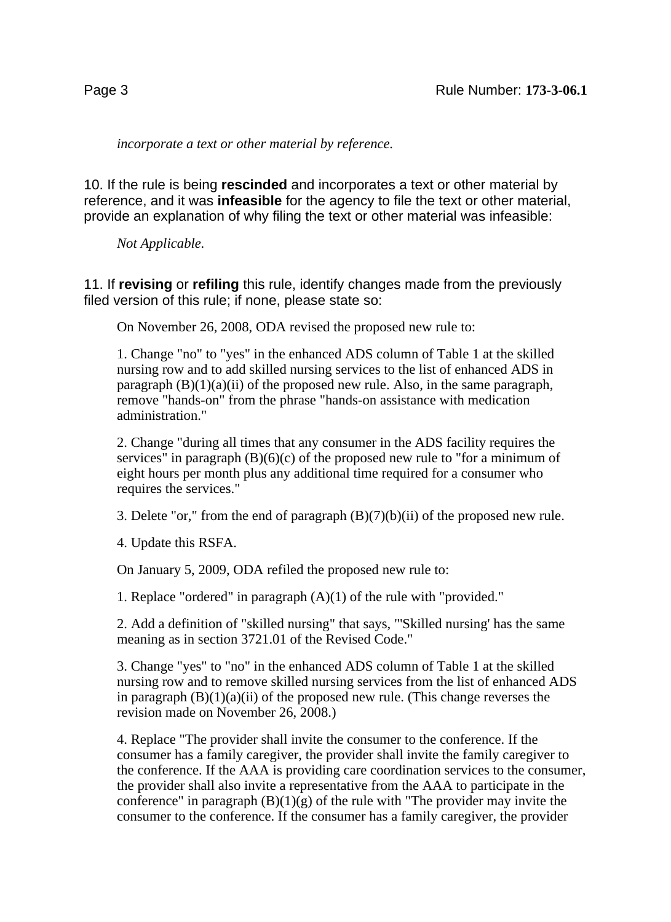*incorporate a text or other material by reference.*

10. If the rule is being **rescinded** and incorporates a text or other material by reference, and it was **infeasible** for the agency to file the text or other material, provide an explanation of why filing the text or other material was infeasible:

*Not Applicable.*

11. If **revising** or **refiling** this rule, identify changes made from the previously filed version of this rule; if none, please state so:

On November 26, 2008, ODA revised the proposed new rule to:

1. Change "no" to "yes" in the enhanced ADS column of Table 1 at the skilled nursing row and to add skilled nursing services to the list of enhanced ADS in paragraph  $(B)(1)(a)(ii)$  of the proposed new rule. Also, in the same paragraph, remove "hands-on" from the phrase "hands-on assistance with medication administration."

2. Change "during all times that any consumer in the ADS facility requires the services" in paragraph  $(B)(6)(c)$  of the proposed new rule to "for a minimum of eight hours per month plus any additional time required for a consumer who requires the services."

3. Delete "or," from the end of paragraph  $(B)(7)(b)(ii)$  of the proposed new rule.

4. Update this RSFA.

On January 5, 2009, ODA refiled the proposed new rule to:

1. Replace "ordered" in paragraph (A)(1) of the rule with "provided."

2. Add a definition of "skilled nursing" that says, "'Skilled nursing' has the same meaning as in section 3721.01 of the Revised Code."

3. Change "yes" to "no" in the enhanced ADS column of Table 1 at the skilled nursing row and to remove skilled nursing services from the list of enhanced ADS in paragraph  $(B)(1)(a)(ii)$  of the proposed new rule. (This change reverses the revision made on November 26, 2008.)

4. Replace "The provider shall invite the consumer to the conference. If the consumer has a family caregiver, the provider shall invite the family caregiver to the conference. If the AAA is providing care coordination services to the consumer, the provider shall also invite a representative from the AAA to participate in the conference" in paragraph  $(B)(1)(g)$  of the rule with "The provider may invite the consumer to the conference. If the consumer has a family caregiver, the provider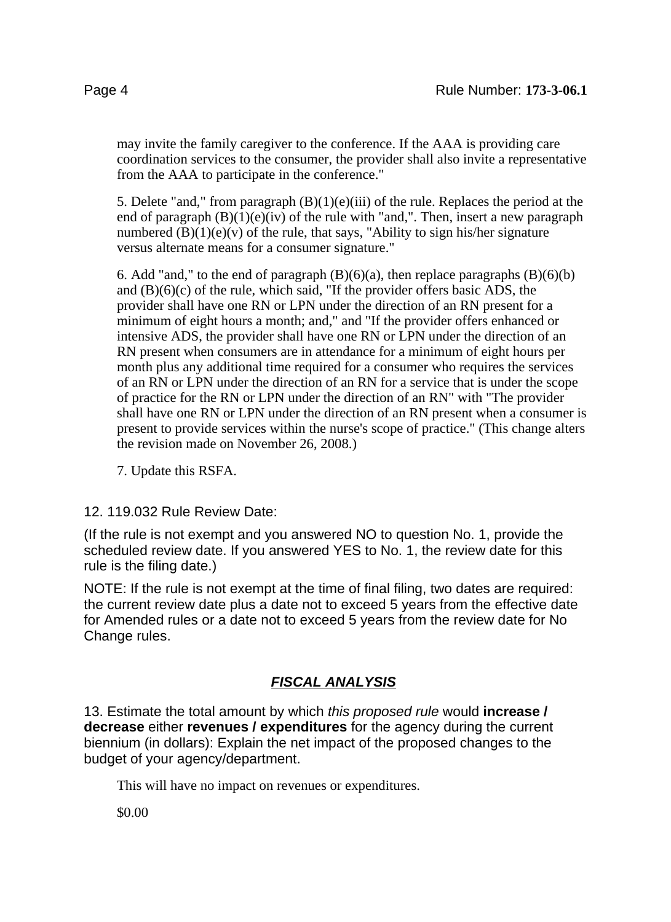may invite the family caregiver to the conference. If the AAA is providing care coordination services to the consumer, the provider shall also invite a representative from the AAA to participate in the conference."

5. Delete "and," from paragraph  $(B)(1)(e)(iii)$  of the rule. Replaces the period at the end of paragraph  $(B)(1)(e)(iv)$  of the rule with "and,". Then, insert a new paragraph numbered  $(B)(1)(e)(v)$  of the rule, that says, "Ability to sign his/her signature versus alternate means for a consumer signature."

6. Add "and," to the end of paragraph  $(B)(6)(a)$ , then replace paragraphs  $(B)(6)(b)$ and  $(B)(6)(c)$  of the rule, which said, "If the provider offers basic ADS, the provider shall have one RN or LPN under the direction of an RN present for a minimum of eight hours a month; and," and "If the provider offers enhanced or intensive ADS, the provider shall have one RN or LPN under the direction of an RN present when consumers are in attendance for a minimum of eight hours per month plus any additional time required for a consumer who requires the services of an RN or LPN under the direction of an RN for a service that is under the scope of practice for the RN or LPN under the direction of an RN" with "The provider shall have one RN or LPN under the direction of an RN present when a consumer is present to provide services within the nurse's scope of practice." (This change alters the revision made on November 26, 2008.)

7. Update this RSFA.

12. 119.032 Rule Review Date:

(If the rule is not exempt and you answered NO to question No. 1, provide the scheduled review date. If you answered YES to No. 1, the review date for this rule is the filing date.)

NOTE: If the rule is not exempt at the time of final filing, two dates are required: the current review date plus a date not to exceed 5 years from the effective date for Amended rules or a date not to exceed 5 years from the review date for No Change rules.

## **FISCAL ANALYSIS**

13. Estimate the total amount by which this proposed rule would **increase / decrease** either **revenues / expenditures** for the agency during the current biennium (in dollars): Explain the net impact of the proposed changes to the budget of your agency/department.

This will have no impact on revenues or expenditures.

\$0.00